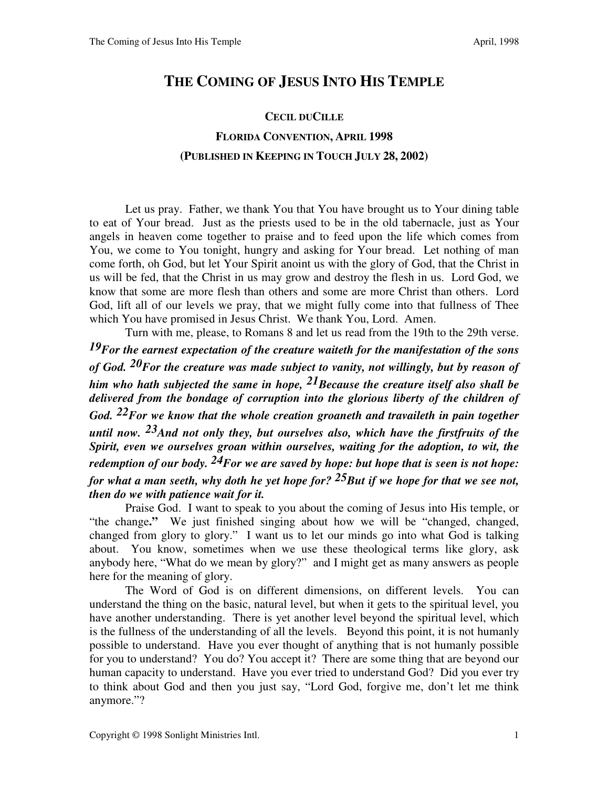## **THE COMING OF JESUS INTO HIS TEMPLE**

## **CECIL DUCILLE FLORIDA CONVENTION, APRIL 1998 (PUBLISHED IN KEEPING IN TOUCH JULY 28, 2002)**

 Let us pray. Father, we thank You that You have brought us to Your dining table to eat of Your bread. Just as the priests used to be in the old tabernacle, just as Your angels in heaven come together to praise and to feed upon the life which comes from You, we come to You tonight, hungry and asking for Your bread. Let nothing of man come forth, oh God, but let Your Spirit anoint us with the glory of God, that the Christ in us will be fed, that the Christ in us may grow and destroy the flesh in us. Lord God, we know that some are more flesh than others and some are more Christ than others. Lord God, lift all of our levels we pray, that we might fully come into that fullness of Thee which You have promised in Jesus Christ. We thank You, Lord. Amen.

 Turn with me, please, to Romans 8 and let us read from the 19th to the 29th verse. *19For the earnest expectation of the creature waiteth for the manifestation of the sons of God. 20For the creature was made subject to vanity, not willingly, but by reason of him who hath subjected the same in hope, 21Because the creature itself also shall be delivered from the bondage of corruption into the glorious liberty of the children of God. 22For we know that the whole creation groaneth and travaileth in pain together until now. 23And not only they, but ourselves also, which have the firstfruits of the Spirit, even we ourselves groan within ourselves, waiting for the adoption, to wit, the redemption of our body. 24For we are saved by hope: but hope that is seen is not hope: for what a man seeth, why doth he yet hope for? 25But if we hope for that we see not, then do we with patience wait for it.*

 Praise God. I want to speak to you about the coming of Jesus into His temple, or "the change**."** We just finished singing about how we will be "changed, changed, changed from glory to glory." I want us to let our minds go into what God is talking about. You know, sometimes when we use these theological terms like glory, ask anybody here, "What do we mean by glory?" and I might get as many answers as people here for the meaning of glory.

 The Word of God is on different dimensions, on different levels. You can understand the thing on the basic, natural level, but when it gets to the spiritual level, you have another understanding. There is yet another level beyond the spiritual level, which is the fullness of the understanding of all the levels. Beyond this point, it is not humanly possible to understand. Have you ever thought of anything that is not humanly possible for you to understand? You do? You accept it? There are some thing that are beyond our human capacity to understand. Have you ever tried to understand God? Did you ever try to think about God and then you just say, "Lord God, forgive me, don't let me think anymore."?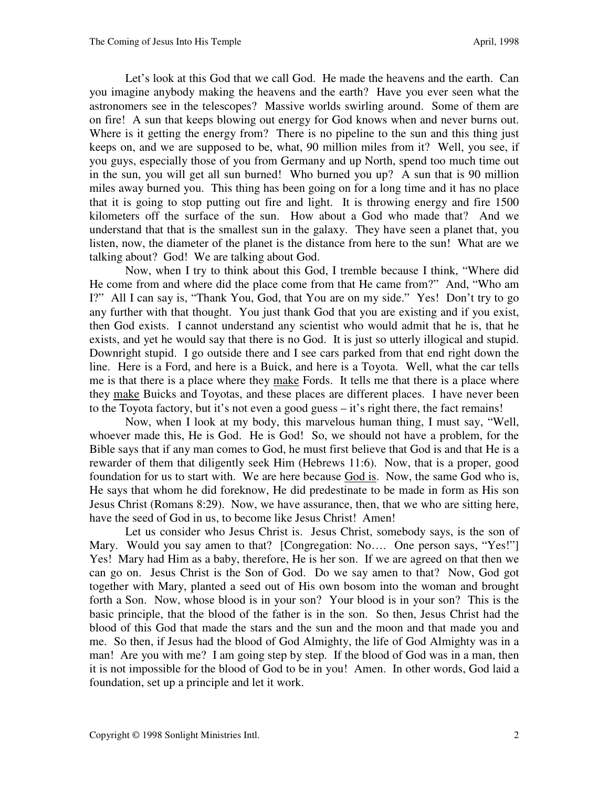Let's look at this God that we call God. He made the heavens and the earth. Can you imagine anybody making the heavens and the earth? Have you ever seen what the astronomers see in the telescopes? Massive worlds swirling around. Some of them are on fire! A sun that keeps blowing out energy for God knows when and never burns out. Where is it getting the energy from? There is no pipeline to the sun and this thing just keeps on, and we are supposed to be, what, 90 million miles from it? Well, you see, if you guys, especially those of you from Germany and up North, spend too much time out in the sun, you will get all sun burned! Who burned you up? A sun that is 90 million miles away burned you. This thing has been going on for a long time and it has no place that it is going to stop putting out fire and light. It is throwing energy and fire 1500 kilometers off the surface of the sun. How about a God who made that? And we understand that that is the smallest sun in the galaxy. They have seen a planet that, you listen, now, the diameter of the planet is the distance from here to the sun! What are we talking about? God! We are talking about God.

 Now, when I try to think about this God, I tremble because I think, "Where did He come from and where did the place come from that He came from?" And, "Who am I?" All I can say is, "Thank You, God, that You are on my side." Yes! Don't try to go any further with that thought. You just thank God that you are existing and if you exist, then God exists. I cannot understand any scientist who would admit that he is, that he exists, and yet he would say that there is no God. It is just so utterly illogical and stupid. Downright stupid. I go outside there and I see cars parked from that end right down the line. Here is a Ford, and here is a Buick, and here is a Toyota. Well, what the car tells me is that there is a place where they make Fords. It tells me that there is a place where they make Buicks and Toyotas, and these places are different places. I have never been to the Toyota factory, but it's not even a good guess – it's right there, the fact remains!

 Now, when I look at my body, this marvelous human thing, I must say, "Well, whoever made this, He is God. He is God! So, we should not have a problem, for the Bible says that if any man comes to God, he must first believe that God is and that He is a rewarder of them that diligently seek Him (Hebrews 11:6).Now, that is a proper, good foundation for us to start with. We are here because God is. Now, the same God who is, He says that whom he did foreknow, He did predestinate to be made in form as His son Jesus Christ (Romans 8:29). Now, we have assurance, then, that we who are sitting here, have the seed of God in us, to become like Jesus Christ! Amen!

 Let us consider who Jesus Christ is. Jesus Christ, somebody says, is the son of Mary. Would you say amen to that? [Congregation: No.... One person says, "Yes!"] Yes! Mary had Him as a baby, therefore, He is her son. If we are agreed on that then we can go on. Jesus Christ is the Son of God. Do we say amen to that? Now, God got together with Mary, planted a seed out of His own bosom into the woman and brought forth a Son. Now, whose blood is in your son? Your blood is in your son? This is the basic principle, that the blood of the father is in the son. So then, Jesus Christ had the blood of this God that made the stars and the sun and the moon and that made you and me. So then, if Jesus had the blood of God Almighty, the life of God Almighty was in a man! Are you with me? I am going step by step. If the blood of God was in a man, then it is not impossible for the blood of God to be in you! Amen. In other words, God laid a foundation, set up a principle and let it work.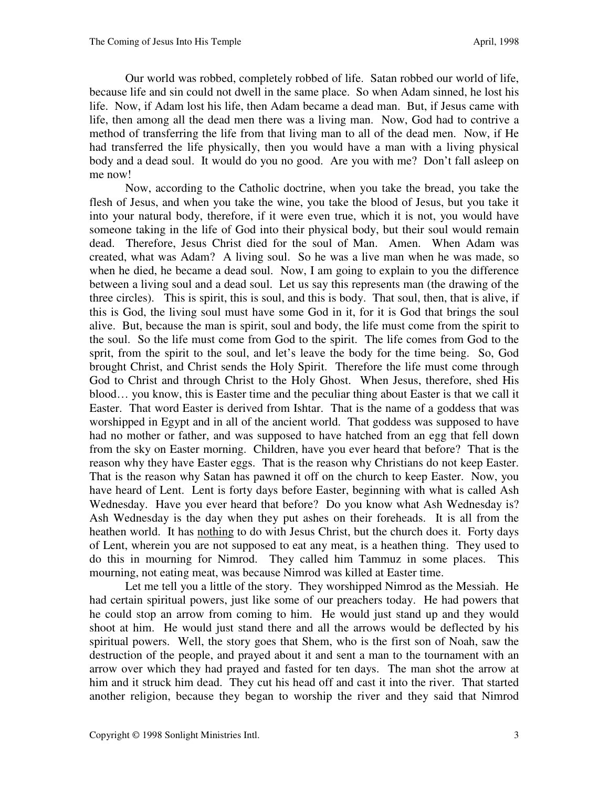Our world was robbed, completely robbed of life. Satan robbed our world of life, because life and sin could not dwell in the same place. So when Adam sinned, he lost his life. Now, if Adam lost his life, then Adam became a dead man. But, if Jesus came with life, then among all the dead men there was a living man. Now, God had to contrive a method of transferring the life from that living man to all of the dead men. Now, if He had transferred the life physically, then you would have a man with a living physical body and a dead soul. It would do you no good. Are you with me? Don't fall asleep on me now!

 Now, according to the Catholic doctrine, when you take the bread, you take the flesh of Jesus, and when you take the wine, you take the blood of Jesus, but you take it into your natural body, therefore, if it were even true, which it is not, you would have someone taking in the life of God into their physical body, but their soul would remain dead. Therefore, Jesus Christ died for the soul of Man. Amen. When Adam was created, what was Adam? A living soul. So he was a live man when he was made, so when he died, he became a dead soul. Now, I am going to explain to you the difference between a living soul and a dead soul. Let us say this represents man (the drawing of the three circles). This is spirit, this is soul, and this is body. That soul, then, that is alive, if this is God, the living soul must have some God in it, for it is God that brings the soul alive. But, because the man is spirit, soul and body, the life must come from the spirit to the soul. So the life must come from God to the spirit. The life comes from God to the sprit, from the spirit to the soul, and let's leave the body for the time being. So, God brought Christ, and Christ sends the Holy Spirit. Therefore the life must come through God to Christ and through Christ to the Holy Ghost. When Jesus, therefore, shed His blood… you know, this is Easter time and the peculiar thing about Easter is that we call it Easter. That word Easter is derived from Ishtar. That is the name of a goddess that was worshipped in Egypt and in all of the ancient world. That goddess was supposed to have had no mother or father, and was supposed to have hatched from an egg that fell down from the sky on Easter morning. Children, have you ever heard that before? That is the reason why they have Easter eggs. That is the reason why Christians do not keep Easter. That is the reason why Satan has pawned it off on the church to keep Easter. Now, you have heard of Lent. Lent is forty days before Easter, beginning with what is called Ash Wednesday. Have you ever heard that before? Do you know what Ash Wednesday is? Ash Wednesday is the day when they put ashes on their foreheads. It is all from the heathen world. It has nothing to do with Jesus Christ, but the church does it. Forty days of Lent, wherein you are not supposed to eat any meat, is a heathen thing. They used to do this in mourning for Nimrod. They called him Tammuz in some places. This mourning, not eating meat, was because Nimrod was killed at Easter time.

 Let me tell you a little of the story. They worshipped Nimrod as the Messiah. He had certain spiritual powers, just like some of our preachers today. He had powers that he could stop an arrow from coming to him. He would just stand up and they would shoot at him. He would just stand there and all the arrows would be deflected by his spiritual powers. Well, the story goes that Shem, who is the first son of Noah, saw the destruction of the people, and prayed about it and sent a man to the tournament with an arrow over which they had prayed and fasted for ten days. The man shot the arrow at him and it struck him dead. They cut his head off and cast it into the river. That started another religion, because they began to worship the river and they said that Nimrod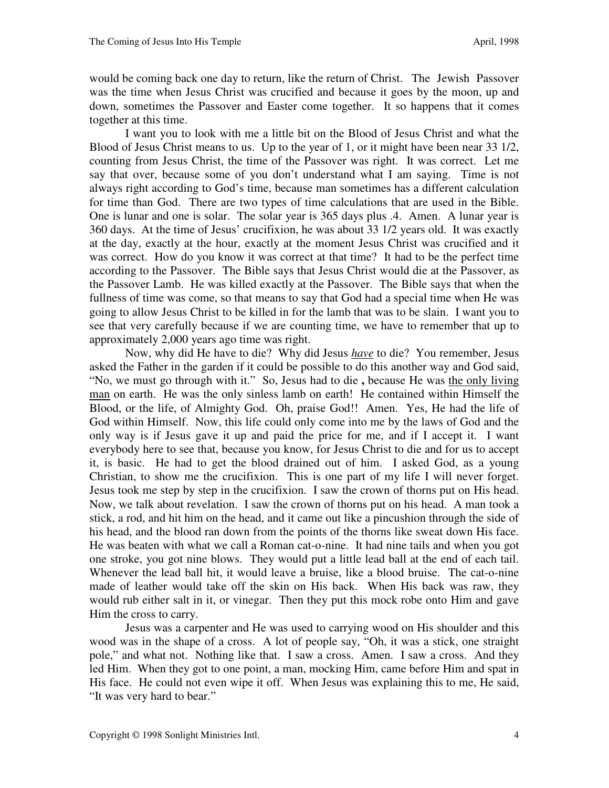would be coming back one day to return, like the return of Christ. The Jewish Passover was the time when Jesus Christ was crucified and because it goes by the moon, up and down, sometimes the Passover and Easter come together. It so happens that it comes together at this time.

 I want you to look with me a little bit on the Blood of Jesus Christ and what the Blood of Jesus Christ means to us. Up to the year of 1, or it might have been near 33 1/2, counting from Jesus Christ, the time of the Passover was right. It was correct. Let me say that over, because some of you don't understand what I am saying. Time is not always right according to God's time, because man sometimes has a different calculation for time than God. There are two types of time calculations that are used in the Bible. One is lunar and one is solar. The solar year is 365 days plus .4. Amen. A lunar year is 360 days. At the time of Jesus' crucifixion, he was about 33 1/2 years old. It was exactly at the day, exactly at the hour, exactly at the moment Jesus Christ was crucified and it was correct. How do you know it was correct at that time? It had to be the perfect time according to the Passover. The Bible says that Jesus Christ would die at the Passover, as the Passover Lamb. He was killed exactly at the Passover. The Bible says that when the fullness of time was come, so that means to say that God had a special time when He was going to allow Jesus Christ to be killed in for the lamb that was to be slain. I want you to see that very carefully because if we are counting time, we have to remember that up to approximately 2,000 years ago time was right.

 Now, why did He have to die? Why did Jesus *have* to die? You remember, Jesus asked the Father in the garden if it could be possible to do this another way and God said, "No, we must go through with it." So, Jesus had to die **,** because He was the only living man on earth. He was the only sinless lamb on earth! He contained within Himself the Blood, or the life, of Almighty God. Oh, praise God!! Amen. Yes, He had the life of God within Himself. Now, this life could only come into me by the laws of God and the only way is if Jesus gave it up and paid the price for me, and if I accept it. I want everybody here to see that, because you know, for Jesus Christ to die and for us to accept it, is basic. He had to get the blood drained out of him. I asked God, as a young Christian, to show me the crucifixion. This is one part of my life I will never forget. Jesus took me step by step in the crucifixion. I saw the crown of thorns put on His head. Now, we talk about revelation. I saw the crown of thorns put on his head. A man took a stick, a rod, and hit him on the head, and it came out like a pincushion through the side of his head, and the blood ran down from the points of the thorns like sweat down His face. He was beaten with what we call a Roman cat-o-nine. It had nine tails and when you got one stroke, you got nine blows. They would put a little lead ball at the end of each tail. Whenever the lead ball hit, it would leave a bruise, like a blood bruise. The cat-o-nine made of leather would take off the skin on His back. When His back was raw, they would rub either salt in it, or vinegar. Then they put this mock robe onto Him and gave Him the cross to carry.

 Jesus was a carpenter and He was used to carrying wood on His shoulder and this wood was in the shape of a cross. A lot of people say, "Oh, it was a stick, one straight pole," and what not. Nothing like that. I saw a cross. Amen. I saw a cross. And they led Him.When they got to one point, a man, mocking Him, came before Him and spat in His face. He could not even wipe it off. When Jesus was explaining this to me, He said, "It was very hard to bear."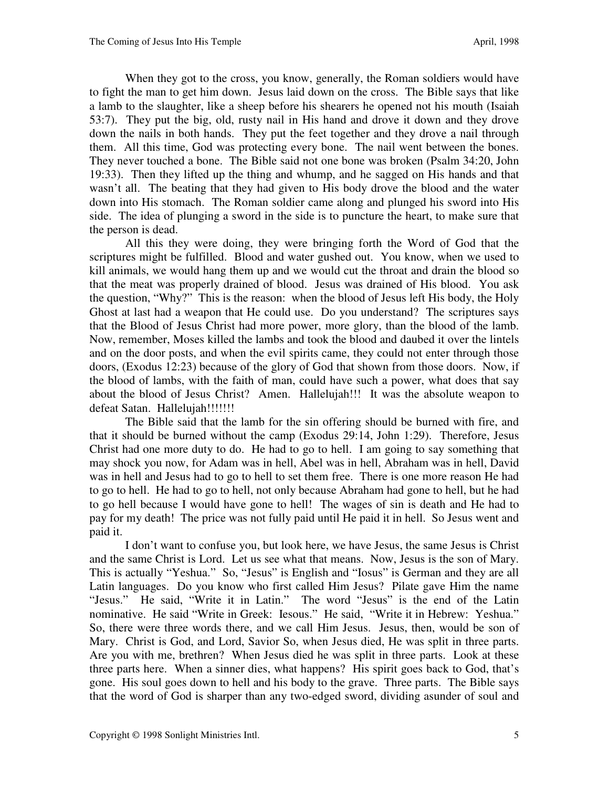When they got to the cross, you know, generally, the Roman soldiers would have to fight the man to get him down. Jesus laid down on the cross. The Bible says that like a lamb to the slaughter, like a sheep before his shearers he opened not his mouth (Isaiah 53:7). They put the big, old, rusty nail in His hand and drove it down and they drove down the nails in both hands. They put the feet together and they drove a nail through them. All this time, God was protecting every bone. The nail went between the bones. They never touched a bone. The Bible said not one bone was broken (Psalm 34:20, John 19:33). Then they lifted up the thing and whump, and he sagged on His hands and that wasn't all. The beating that they had given to His body drove the blood and the water down into His stomach. The Roman soldier came along and plunged his sword into His side. The idea of plunging a sword in the side is to puncture the heart, to make sure that the person is dead.

All this they were doing, they were bringing forth the Word of God that the scriptures might be fulfilled. Blood and water gushed out. You know, when we used to kill animals, we would hang them up and we would cut the throat and drain the blood so that the meat was properly drained of blood. Jesus was drained of His blood. You ask the question, "Why?" This is the reason: when the blood of Jesus left His body, the Holy Ghost at last had a weapon that He could use. Do you understand? The scriptures says that the Blood of Jesus Christ had more power, more glory, than the blood of the lamb. Now, remember, Moses killed the lambs and took the blood and daubed it over the lintels and on the door posts, and when the evil spirits came, they could not enter through those doors, (Exodus 12:23) because of the glory of God that shown from those doors. Now, if the blood of lambs, with the faith of man, could have such a power, what does that say about the blood of Jesus Christ? Amen. Hallelujah!!! It was the absolute weapon to defeat Satan. Hallelujah!!!!!!!!

 The Bible said that the lamb for the sin offering should be burned with fire, and that it should be burned without the camp (Exodus 29:14, John 1:29). Therefore, Jesus Christ had one more duty to do. He had to go to hell. I am going to say something that may shock you now, for Adam was in hell, Abel was in hell, Abraham was in hell, David was in hell and Jesus had to go to hell to set them free. There is one more reason He had to go to hell. He had to go to hell, not only because Abraham had gone to hell, but he had to go hell because I would have gone to hell! The wages of sin is death and He had to pay for my death! The price was not fully paid until He paid it in hell. So Jesus went and paid it.

 I don't want to confuse you, but look here, we have Jesus, the same Jesus is Christ and the same Christ is Lord. Let us see what that means. Now, Jesus is the son of Mary. This is actually "Yeshua." So, "Jesus" is English and "Iosus" is German and they are all Latin languages. Do you know who first called Him Jesus? Pilate gave Him the name "Jesus." He said, "Write it in Latin." The word "Jesus" is the end of the Latin nominative. He said "Write in Greek: Iesous." He said, "Write it in Hebrew: Yeshua." So, there were three words there, and we call Him Jesus. Jesus, then, would be son of Mary. Christ is God, and Lord, Savior So, when Jesus died, He was split in three parts. Are you with me, brethren? When Jesus died he was split in three parts. Look at these three parts here. When a sinner dies, what happens? His spirit goes back to God, that's gone. His soul goes down to hell and his body to the grave. Three parts. The Bible says that the word of God is sharper than any two-edged sword, dividing asunder of soul and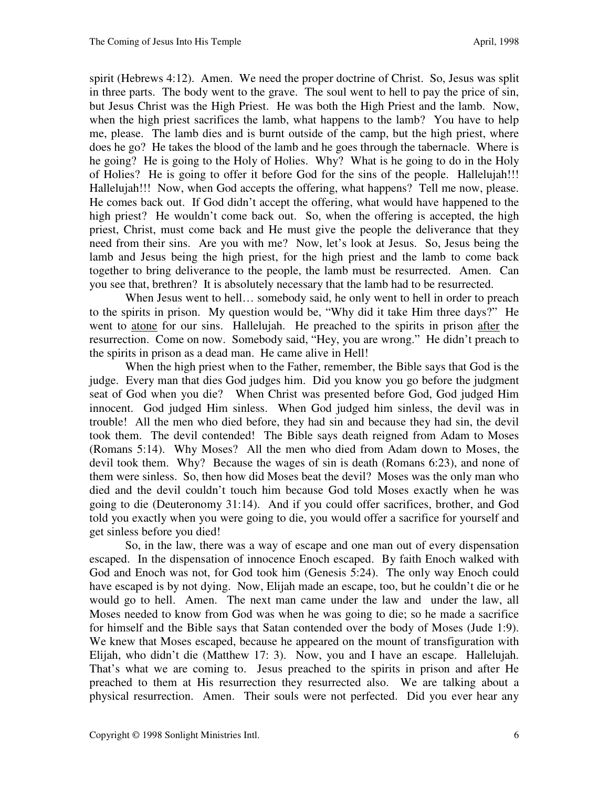spirit (Hebrews 4:12). Amen. We need the proper doctrine of Christ. So, Jesus was split in three parts. The body went to the grave. The soul went to hell to pay the price of sin, but Jesus Christ was the High Priest. He was both the High Priest and the lamb. Now, when the high priest sacrifices the lamb, what happens to the lamb? You have to help me, please. The lamb dies and is burnt outside of the camp, but the high priest, where does he go? He takes the blood of the lamb and he goes through the tabernacle. Where is he going? He is going to the Holy of Holies. Why? What is he going to do in the Holy of Holies? He is going to offer it before God for the sins of the people. Hallelujah!!! Hallelujah!!! Now, when God accepts the offering, what happens? Tell me now, please. He comes back out. If God didn't accept the offering, what would have happened to the high priest? He wouldn't come back out. So, when the offering is accepted, the high priest, Christ, must come back and He must give the people the deliverance that they need from their sins. Are you with me? Now, let's look at Jesus. So, Jesus being the lamb and Jesus being the high priest, for the high priest and the lamb to come back together to bring deliverance to the people, the lamb must be resurrected. Amen. Can you see that, brethren? It is absolutely necessary that the lamb had to be resurrected.

When Jesus went to hell... somebody said, he only went to hell in order to preach to the spirits in prison. My question would be, "Why did it take Him three days?" He went to atone for our sins. Hallelujah. He preached to the spirits in prison after the resurrection. Come on now. Somebody said, "Hey, you are wrong." He didn't preach to the spirits in prison as a dead man. He came alive in Hell!

 When the high priest when to the Father, remember, the Bible says that God is the judge. Every man that dies God judges him. Did you know you go before the judgment seat of God when you die? When Christ was presented before God, God judged Him innocent. God judged Him sinless. When God judged him sinless, the devil was in trouble! All the men who died before, they had sin and because they had sin, the devil took them. The devil contended! The Bible says death reigned from Adam to Moses (Romans 5:14). Why Moses? All the men who died from Adam down to Moses, the devil took them. Why? Because the wages of sin is death (Romans 6:23), and none of them were sinless. So, then how did Moses beat the devil? Moses was the only man who died and the devil couldn't touch him because God told Moses exactly when he was going to die (Deuteronomy 31:14).And if you could offer sacrifices, brother, and God told you exactly when you were going to die, you would offer a sacrifice for yourself and get sinless before you died!

 So, in the law, there was a way of escape and one man out of every dispensation escaped. In the dispensation of innocence Enoch escaped. By faith Enoch walked with God and Enoch was not, for God took him (Genesis 5:24).The only way Enoch could have escaped is by not dying. Now, Elijah made an escape, too, but he couldn't die or he would go to hell. Amen. The next man came under the law and under the law, all Moses needed to know from God was when he was going to die; so he made a sacrifice for himself and the Bible says that Satan contended over the body of Moses (Jude 1:9). We knew that Moses escaped, because he appeared on the mount of transfiguration with Elijah, who didn't die (Matthew 17: 3). Now, you and I have an escape. Hallelujah. That's what we are coming to. Jesus preached to the spirits in prison and after He preached to them at His resurrection they resurrected also. We are talking about a physical resurrection. Amen. Their souls were not perfected. Did you ever hear any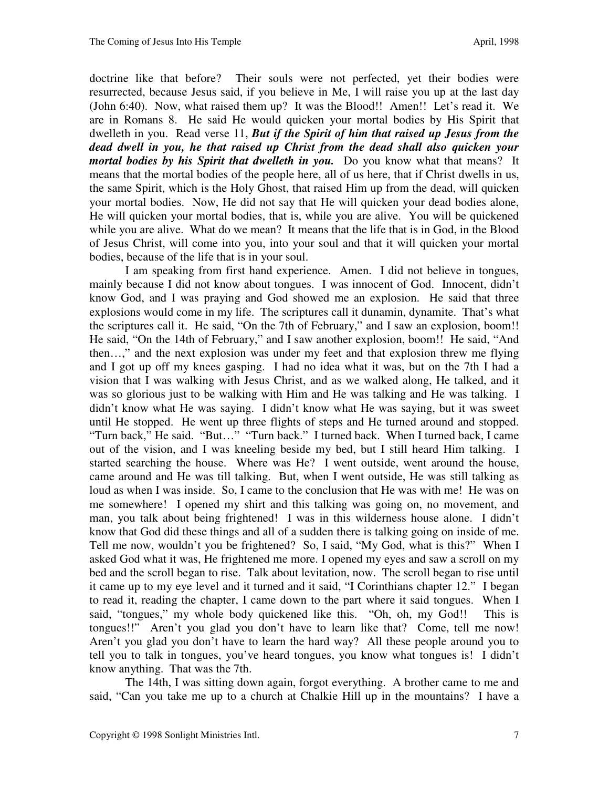doctrine like that before? Their souls were not perfected, yet their bodies were resurrected, because Jesus said, if you believe in Me, I will raise you up at the last day (John 6:40). Now, what raised them up? It was the Blood!! Amen!! Let's read it. We are in Romans 8. He said He would quicken your mortal bodies by His Spirit that dwelleth in you. Read verse 11, *But if the Spirit of him that raised up Jesus from the dead dwell in you, he that raised up Christ from the dead shall also quicken your mortal bodies by his Spirit that dwelleth in you.* Do you know what that means?It means that the mortal bodies of the people here, all of us here, that if Christ dwells in us, the same Spirit, which is the Holy Ghost, that raised Him up from the dead, will quicken your mortal bodies. Now, He did not say that He will quicken your dead bodies alone, He will quicken your mortal bodies, that is, while you are alive. You will be quickened while you are alive. What do we mean? It means that the life that is in God, in the Blood of Jesus Christ, will come into you, into your soul and that it will quicken your mortal bodies, because of the life that is in your soul.

 I am speaking from first hand experience. Amen. I did not believe in tongues, mainly because I did not know about tongues. I was innocent of God. Innocent, didn't know God, and I was praying and God showed me an explosion. He said that three explosions would come in my life. The scriptures call it dunamin, dynamite. That's what the scriptures call it. He said, "On the 7th of February," and I saw an explosion, boom!! He said, "On the 14th of February," and I saw another explosion, boom!! He said, "And then…," and the next explosion was under my feet and that explosion threw me flying and I got up off my knees gasping. I had no idea what it was, but on the 7th I had a vision that I was walking with Jesus Christ, and as we walked along, He talked, and it was so glorious just to be walking with Him and He was talking and He was talking. I didn't know what He was saying. I didn't know what He was saying, but it was sweet until He stopped. He went up three flights of steps and He turned around and stopped. "Turn back," He said. "But…" "Turn back." I turned back. When I turned back, I came out of the vision, and I was kneeling beside my bed, but I still heard Him talking. I started searching the house. Where was He? I went outside, went around the house, came around and He was till talking. But, when I went outside, He was still talking as loud as when I was inside. So, I came to the conclusion that He was with me! He was on me somewhere! I opened my shirt and this talking was going on, no movement, and man, you talk about being frightened! I was in this wilderness house alone. I didn't know that God did these things and all of a sudden there is talking going on inside of me. Tell me now, wouldn't you be frightened? So, I said, "My God, what is this?" When I asked God what it was, He frightened me more. I opened my eyes and saw a scroll on my bed and the scroll began to rise. Talk about levitation, now. The scroll began to rise until it came up to my eye level and it turned and it said, "I Corinthians chapter 12." I began to read it, reading the chapter, I came down to the part where it said tongues. When I said, "tongues," my whole body quickened like this. "Oh, oh, my God!! This is tongues!!" Aren't you glad you don't have to learn like that? Come, tell me now! Aren't you glad you don't have to learn the hard way? All these people around you to tell you to talk in tongues, you've heard tongues, you know what tongues is! I didn't know anything. That was the 7th.

 The 14th, I was sitting down again, forgot everything. A brother came to me and said, "Can you take me up to a church at Chalkie Hill up in the mountains? I have a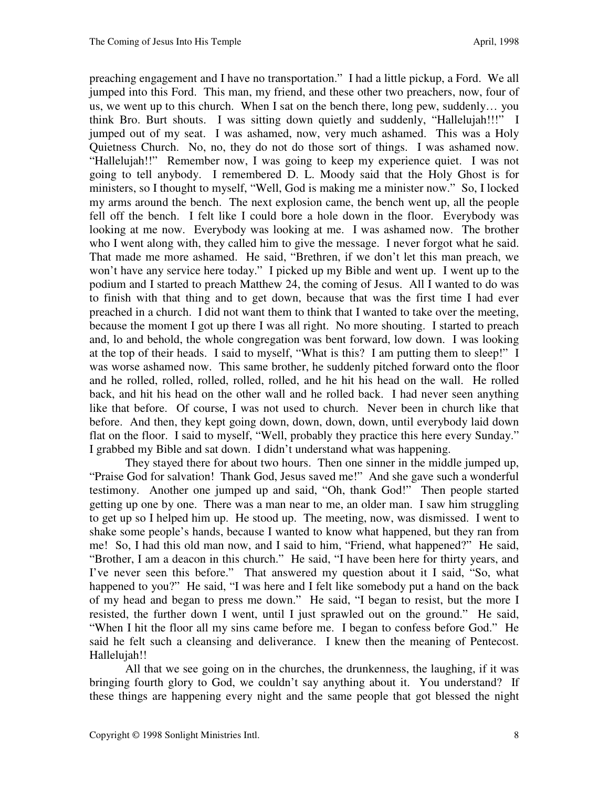preaching engagement and I have no transportation." I had a little pickup, a Ford. We all jumped into this Ford. This man, my friend, and these other two preachers, now, four of us, we went up to this church. When I sat on the bench there, long pew, suddenly… you think Bro. Burt shouts. I was sitting down quietly and suddenly, "Hallelujah!!!" I jumped out of my seat. I was ashamed, now, very much ashamed. This was a Holy Quietness Church. No, no, they do not do those sort of things. I was ashamed now. "Hallelujah!!" Remember now, I was going to keep my experience quiet. I was not going to tell anybody. I remembered D. L. Moody said that the Holy Ghost is for ministers, so I thought to myself, "Well, God is making me a minister now." So, I locked my arms around the bench. The next explosion came, the bench went up, all the people fell off the bench. I felt like I could bore a hole down in the floor. Everybody was looking at me now. Everybody was looking at me. I was ashamed now. The brother who I went along with, they called him to give the message. I never forgot what he said. That made me more ashamed. He said, "Brethren, if we don't let this man preach, we won't have any service here today." I picked up my Bible and went up. I went up to the podium and I started to preach Matthew 24, the coming of Jesus. All I wanted to do was to finish with that thing and to get down, because that was the first time I had ever preached in a church. I did not want them to think that I wanted to take over the meeting, because the moment I got up there I was all right. No more shouting. I started to preach and, lo and behold, the whole congregation was bent forward, low down. I was looking at the top of their heads. I said to myself, "What is this? I am putting them to sleep!" I was worse ashamed now. This same brother, he suddenly pitched forward onto the floor and he rolled, rolled, rolled, rolled, rolled, and he hit his head on the wall. He rolled back, and hit his head on the other wall and he rolled back. I had never seen anything like that before. Of course, I was not used to church. Never been in church like that before. And then, they kept going down, down, down, down, until everybody laid down flat on the floor. I said to myself, "Well, probably they practice this here every Sunday." I grabbed my Bible and sat down. I didn't understand what was happening.

 They stayed there for about two hours. Then one sinner in the middle jumped up, "Praise God for salvation! Thank God, Jesus saved me!" And she gave such a wonderful testimony. Another one jumped up and said, "Oh, thank God!" Then people started getting up one by one. There was a man near to me, an older man. I saw him struggling to get up so I helped him up. He stood up. The meeting, now, was dismissed. I went to shake some people's hands, because I wanted to know what happened, but they ran from me! So, I had this old man now, and I said to him, "Friend, what happened?" He said, "Brother, I am a deacon in this church." He said, "I have been here for thirty years, and I've never seen this before." That answered my question about it I said, "So, what happened to you?" He said, "I was here and I felt like somebody put a hand on the back of my head and began to press me down." He said, "I began to resist, but the more I resisted, the further down I went, until I just sprawled out on the ground." He said, "When I hit the floor all my sins came before me. I began to confess before God." He said he felt such a cleansing and deliverance. I knew then the meaning of Pentecost. Hallelujah!!

All that we see going on in the churches, the drunkenness, the laughing, if it was bringing fourth glory to God, we couldn't say anything about it. You understand? If these things are happening every night and the same people that got blessed the night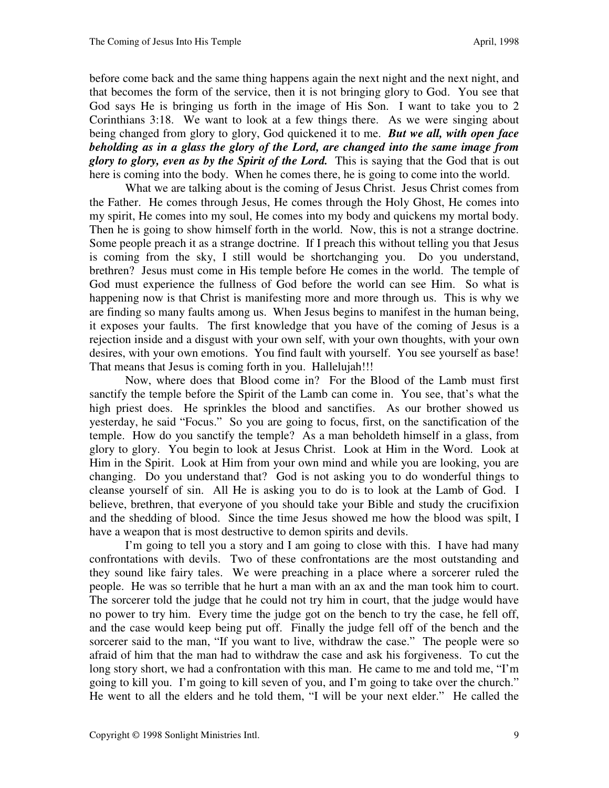before come back and the same thing happens again the next night and the next night, and that becomes the form of the service, then it is not bringing glory to God. You see that God says He is bringing us forth in the image of His Son. I want to take you to 2 Corinthians 3:18. We want to look at a few things there. As we were singing about being changed from glory to glory, God quickened it to me. *But we all, with open face beholding as in a glass the glory of the Lord, are changed into the same image from glory to glory, even as by the Spirit of the Lord.* This is saying that the God that is out here is coming into the body.When he comes there, he is going to come into the world.

What we are talking about is the coming of Jesus Christ. Jesus Christ comes from the Father. He comes through Jesus, He comes through the Holy Ghost, He comes into my spirit, He comes into my soul, He comes into my body and quickens my mortal body. Then he is going to show himself forth in the world. Now, this is not a strange doctrine. Some people preach it as a strange doctrine. If I preach this without telling you that Jesus is coming from the sky, I still would be shortchanging you. Do you understand, brethren? Jesus must come in His temple before He comes in the world. The temple of God must experience the fullness of God before the world can see Him. So what is happening now is that Christ is manifesting more and more through us. This is why we are finding so many faults among us. When Jesus begins to manifest in the human being, it exposes your faults. The first knowledge that you have of the coming of Jesus is a rejection inside and a disgust with your own self, with your own thoughts, with your own desires, with your own emotions. You find fault with yourself. You see yourself as base! That means that Jesus is coming forth in you. Hallelujah!!!

 Now, where does that Blood come in? For the Blood of the Lamb must first sanctify the temple before the Spirit of the Lamb can come in. You see, that's what the high priest does. He sprinkles the blood and sanctifies. As our brother showed us yesterday, he said "Focus." So you are going to focus, first, on the sanctification of the temple. How do you sanctify the temple? As a man beholdeth himself in a glass, from glory to glory. You begin to look at Jesus Christ. Look at Him in the Word. Look at Him in the Spirit. Look at Him from your own mind and while you are looking, you are changing. Do you understand that? God is not asking you to do wonderful things to cleanse yourself of sin. All He is asking you to do is to look at the Lamb of God. I believe, brethren, that everyone of you should take your Bible and study the crucifixion and the shedding of blood. Since the time Jesus showed me how the blood was spilt, I have a weapon that is most destructive to demon spirits and devils.

 I'm going to tell you a story and I am going to close with this. I have had many confrontations with devils. Two of these confrontations are the most outstanding and they sound like fairy tales. We were preaching in a place where a sorcerer ruled the people. He was so terrible that he hurt a man with an ax and the man took him to court. The sorcerer told the judge that he could not try him in court, that the judge would have no power to try him. Every time the judge got on the bench to try the case, he fell off, and the case would keep being put off. Finally the judge fell off of the bench and the sorcerer said to the man, "If you want to live, withdraw the case." The people were so afraid of him that the man had to withdraw the case and ask his forgiveness. To cut the long story short, we had a confrontation with this man. He came to me and told me, "I'm going to kill you. I'm going to kill seven of you, and I'm going to take over the church." He went to all the elders and he told them, "I will be your next elder." He called the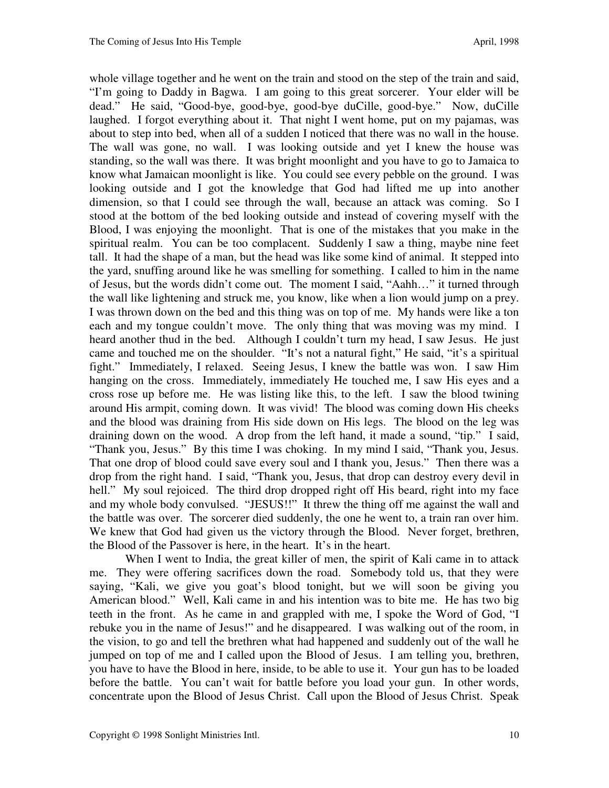whole village together and he went on the train and stood on the step of the train and said, "I'm going to Daddy in Bagwa. I am going to this great sorcerer. Your elder will be dead." He said, "Good-bye, good-bye, good-bye duCille, good-bye." Now, duCille laughed. I forgot everything about it. That night I went home, put on my pajamas, was about to step into bed, when all of a sudden I noticed that there was no wall in the house. The wall was gone, no wall. I was looking outside and yet I knew the house was standing, so the wall was there. It was bright moonlight and you have to go to Jamaica to know what Jamaican moonlight is like. You could see every pebble on the ground. I was looking outside and I got the knowledge that God had lifted me up into another dimension, so that I could see through the wall, because an attack was coming. So I stood at the bottom of the bed looking outside and instead of covering myself with the Blood, I was enjoying the moonlight. That is one of the mistakes that you make in the spiritual realm. You can be too complacent. Suddenly I saw a thing, maybe nine feet tall. It had the shape of a man, but the head was like some kind of animal. It stepped into the yard, snuffing around like he was smelling for something. I called to him in the name of Jesus, but the words didn't come out. The moment I said, "Aahh…" it turned through the wall like lightening and struck me, you know, like when a lion would jump on a prey. I was thrown down on the bed and this thing was on top of me. My hands were like a ton each and my tongue couldn't move. The only thing that was moving was my mind. I heard another thud in the bed. Although I couldn't turn my head, I saw Jesus. He just came and touched me on the shoulder. "It's not a natural fight," He said, "it's a spiritual fight." Immediately, I relaxed. Seeing Jesus, I knew the battle was won. I saw Him hanging on the cross. Immediately, immediately He touched me, I saw His eyes and a cross rose up before me. He was listing like this, to the left. I saw the blood twining around His armpit, coming down. It was vivid! The blood was coming down His cheeks and the blood was draining from His side down on His legs. The blood on the leg was draining down on the wood. A drop from the left hand, it made a sound, "tip." I said, "Thank you, Jesus." By this time I was choking. In my mind I said, "Thank you, Jesus. That one drop of blood could save every soul and I thank you, Jesus." Then there was a drop from the right hand. I said, "Thank you, Jesus, that drop can destroy every devil in hell." My soul rejoiced. The third drop dropped right off His beard, right into my face and my whole body convulsed. "JESUS!!" It threw the thing off me against the wall and the battle was over. The sorcerer died suddenly, the one he went to, a train ran over him. We knew that God had given us the victory through the Blood. Never forget, brethren, the Blood of the Passover is here, in the heart. It's in the heart.

When I went to India, the great killer of men, the spirit of Kali came in to attack me. They were offering sacrifices down the road. Somebody told us, that they were saying, "Kali, we give you goat's blood tonight, but we will soon be giving you American blood." Well, Kali came in and his intention was to bite me. He has two big teeth in the front. As he came in and grappled with me, I spoke the Word of God, "I rebuke you in the name of Jesus!" and he disappeared. I was walking out of the room, in the vision, to go and tell the brethren what had happened and suddenly out of the wall he jumped on top of me and I called upon the Blood of Jesus. I am telling you, brethren, you have to have the Blood in here, inside, to be able to use it. Your gun has to be loaded before the battle. You can't wait for battle before you load your gun. In other words, concentrate upon the Blood of Jesus Christ. Call upon the Blood of Jesus Christ. Speak